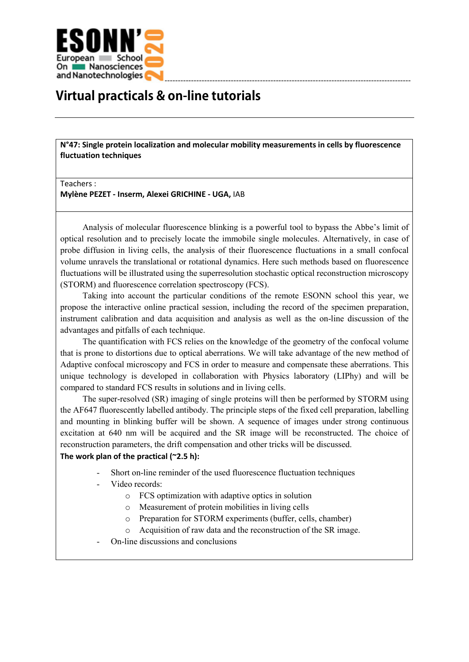

## **Virtual practicals & on-line tutorials**

**N°47: Single protein localization and molecular mobility measurements in cells by fluorescence fluctuation techniques**

## Teachers :

**Mylène PEZET - Inserm, Alexei GRICHINE - UGA,** IAB

Analysis of molecular fluorescence blinking is a powerful tool to bypass the Abbe's limit of optical resolution and to precisely locate the immobile single molecules. Alternatively, in case of probe diffusion in living cells, the analysis of their fluorescence fluctuations in a small confocal volume unravels the translational or rotational dynamics. Here such methods based on fluorescence fluctuations will be illustrated using the superresolution stochastic optical reconstruction microscopy (STORM) and fluorescence correlation spectroscopy (FCS).

Taking into account the particular conditions of the remote ESONN school this year, we propose the interactive online practical session, including the record of the specimen preparation, instrument calibration and data acquisition and analysis as well as the on-line discussion of the advantages and pitfalls of each technique.

The quantification with FCS relies on the knowledge of the geometry of the confocal volume that is prone to distortions due to optical aberrations. We will take advantage of the new method of Adaptive confocal microscopy and FCS in order to measure and compensate these aberrations. This unique technology is developed in collaboration with Physics laboratory (LIPhy) and will be compared to standard FCS results in solutions and in living cells.

The super-resolved (SR) imaging of single proteins will then be performed by STORM using the AF647 fluorescently labelled antibody. The principle steps of the fixed cell preparation, labelling and mounting in blinking buffer will be shown. A sequence of images under strong continuous excitation at 640 nm will be acquired and the SR image will be reconstructed. The choice of reconstruction parameters, the drift compensation and other tricks will be discussed.

## **The work plan of the practical (~2.5 h):**

- Short on-line reminder of the used fluorescence fluctuation techniques
- Video records:
	- o FCS optimization with adaptive optics in solution
		- o Measurement of protein mobilities in living cells
		- o Preparation for STORM experiments (buffer, cells, chamber)
		- o Acquisition of raw data and the reconstruction of the SR image.
- On-line discussions and conclusions